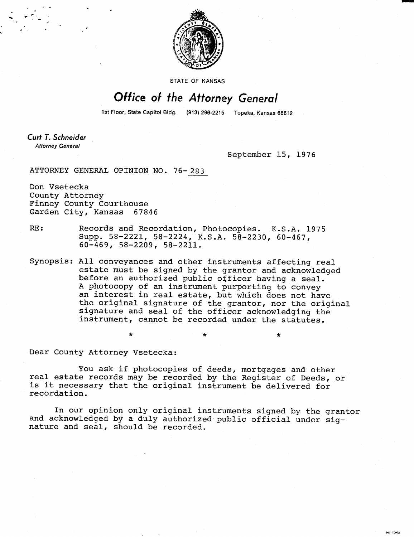

STATE OF KANSAS

# Office of the Attorney General

1st Floor, State Capitol Bldg. (913) 296-2215 Topeka, Kansas 66612

Curt T. Schneider **Attorney General** 

September 15, 1976

MI-1043

ATTORNEY GENERAL OPINION NO. 76-283

Don Vsetecka County Attorney Finney County Courthouse Garden City, Kansas 67846

- RE: Records and Recordation, Photocopies. K.S.A. 1975 Supp. 58-2221, 58-2224, K.S.A. 58-2230, 60-467, 60-469, 58-2209, 58-2211.
- Synopsis: All conveyances and other instruments affecting real estate must be signed by the grantor and acknowledged before an authorized public officer having a seal. A photocopy of an instrument purporting to convey an interest in real estate, but which does not have the original signature of the grantor, nor the original signature and seal of the officer acknowledging the instrument, cannot be recorded under the statutes.

Dear County Attorney Vsetecka:

 $\star$ 

You ask if photocopies of deeds, mortgages and other real estate records may be recorded by the Register of Deeds, or is it necessary that the original instrument be delivered for recordation.

In our opinion only original instruments signed by the grantor and acknowledged by a duly authorized public official under signature and seal, should be recorded.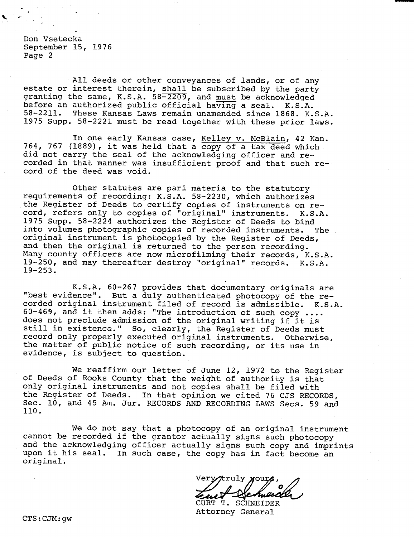Don Vsetecka September 15, 1976 Page 2

All deeds or other conveyances of lands, or of any estate or interest therein, shall be subscribed by the party granting the same, K.S.A. 58-2209, and must be acknowledged before an authorized public official having a seal. K.S.A.<br>58-2211. These Kansas Laws remain unamended since 1868. K. These Kansas Laws remain unamended since 1868. K.S.A. 1975 Supp. 58-2221 must be read together with these prior laws.

In one early Kansas case, Kelley v. McBlain, 42 Kan. 764, 767 (1889), it was held that a copy of a tax deed which did not carry the seal of the acknowledging officer and recorded in that manner was insufficient proof and that such record of the deed was void.

Other statutes are pari materia to the statutory requirements of recording: K.S.A. 58-2230, which authorizes the Register of Deeds to certify copies of instruments on record, refers only to copies of "original" instruments. K.S.A. 1975 Supp. 58-2224 authorizes the Register of Deeds to bind into volumes photographic copies of recorded instruments. The original instrument is photocopied by the Register of Deeds, and then the original is returned to the person recording. Many county officers are now microfilming their records, K.S.A. 19-250, and may thereafter destroy "original" records. K.S.A. 19-253.

K.S.A. 60-267 provides that documentary originals are "best evidence". But a duly authenticated photocopy of the recorded original instrument filed of record is admissible. K.S.A. 60-469, and it then adds: "The introduction of such copy .... does not preclude admission of the original writing if it is still in existence." So, clearly, the Register of Deeds must record only properly executed original instruments. Otherwise, the matter of public notice of such recording, or its use in evidence, is subject to question.

We reaffirm our letter of June 12, 1972 to the Register of Deeds of Rooks County that the weight of authority is that only original instruments and not copies shall be filed with the Register of Deeds. In that opinion we cited 76 CJS RECORDS, Sec. 10, and 45 Am. Jur. RECORDS AND RECORDING LAWS Secs. 59 and 110.

We do not say that a photocopy of an original instrument cannot be recorded if the grantor actually signs such photocopy and the acknowledging officer actually signs such copy and imprints upon it his seal. In such case, the copy has in fact become an original.

Very/truly your

CURT T. SCHNEIDER Attorney General